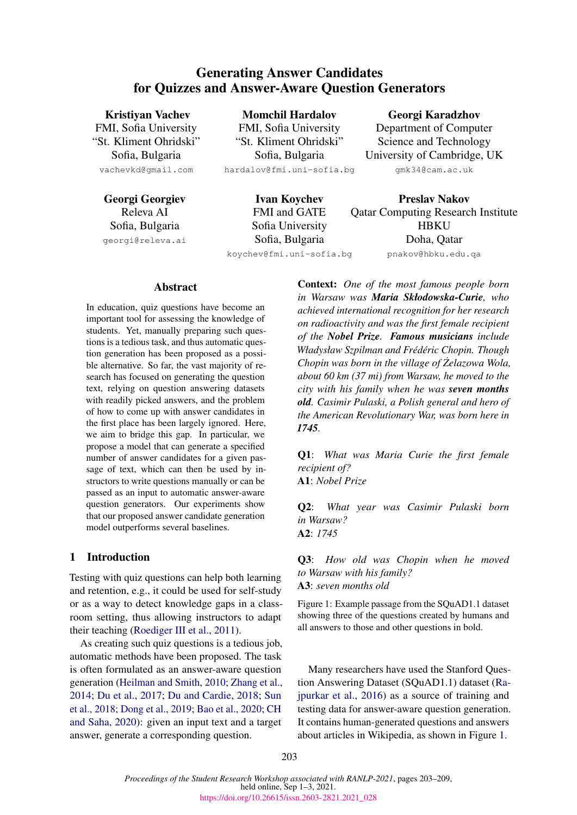# Generating Answer Candidates for Quizzes and Answer-Aware Question Generators

Kristiyan Vachev FMI, Sofia University "St. Kliment Ohridski" Sofia, Bulgaria vachevkd@gmail.com

Georgi Georgiev Releva AI Sofia, Bulgaria georgi@releva.ai

Momchil Hardalov FMI, Sofia University "St. Kliment Ohridski" Sofia, Bulgaria hardalov@fmi.uni-sofia.bg

> Ivan Koychev FMI and GATE Sofia University Sofia, Bulgaria

### Georgi Karadzhov

Department of Computer Science and Technology University of Cambridge, UK gmk34@cam.ac.uk

koychev@fmi.uni-sofia.bg Preslav Nakov Qatar Computing Research Institute **HBKU** Doha, Qatar pnakov@hbku.edu.qa

Abstract

In education, quiz questions have become an important tool for assessing the knowledge of students. Yet, manually preparing such questions is a tedious task, and thus automatic question generation has been proposed as a possible alternative. So far, the vast majority of research has focused on generating the question text, relying on question answering datasets with readily picked answers, and the problem of how to come up with answer candidates in the first place has been largely ignored. Here, we aim to bridge this gap. In particular, we propose a model that can generate a specified number of answer candidates for a given passage of text, which can then be used by instructors to write questions manually or can be passed as an input to automatic answer-aware question generators. Our experiments show that our proposed answer candidate generation model outperforms several baselines.

# 1 Introduction

Testing with quiz questions can help both learning and retention, e.g., it could be used for self-study or as a way to detect knowledge gaps in a classroom setting, thus allowing instructors to adapt their teaching [\(Roediger III et al.,](#page-6-0) [2011\)](#page-6-0).

As creating such quiz questions is a tedious job, automatic methods have been proposed. The task is often formulated as an answer-aware question generation [\(Heilman and Smith,](#page-5-0) [2010;](#page-5-0) [Zhang et al.,](#page-6-1) [2014;](#page-6-1) [Du et al.,](#page-5-1) [2017;](#page-5-1) [Du and Cardie,](#page-5-2) [2018;](#page-5-2) [Sun](#page-6-2) [et al.,](#page-6-2) [2018;](#page-6-2) [Dong et al.,](#page-5-3) [2019;](#page-5-3) [Bao et al.,](#page-5-4) [2020;](#page-5-4) [CH](#page-5-5) [and Saha,](#page-5-5) [2020\)](#page-5-5): given an input text and a target answer, generate a corresponding question.

<span id="page-0-0"></span>Context: *One of the most famous people born in Warsaw was Maria Skłodowska-Curie, who achieved international recognition for her research on radioactivity and was the first female recipient of the Nobel Prize. Famous musicians include Władysław Szpilman and Frédéric Chopin. Though Chopin was born in the village of Zelazowa Wola, ˙ about 60 km (37 mi) from Warsaw, he moved to the city with his family when he was seven months old. Casimir Pulaski, a Polish general and hero of the American Revolutionary War, was born here in 1745.*

Q1: *What was Maria Curie the first female recipient of?*

A1: *Nobel Prize*

Q2: *What year was Casimir Pulaski born in Warsaw?* A2: *1745*

Q3: *How old was Chopin when he moved to Warsaw with his family?* A3: *seven months old*

Figure 1: Example passage from the SQuAD1.1 dataset showing three of the questions created by humans and all answers to those and other questions in bold.

Many researchers have used the Stanford Question Answering Dataset (SQuAD1.1) dataset [\(Ra](#page-6-3)[jpurkar et al.,](#page-6-3) [2016\)](#page-6-3) as a source of training and testing data for answer-aware question generation. It contains human-generated questions and answers about articles in Wikipedia, as shown in Figure [1.](#page-0-0)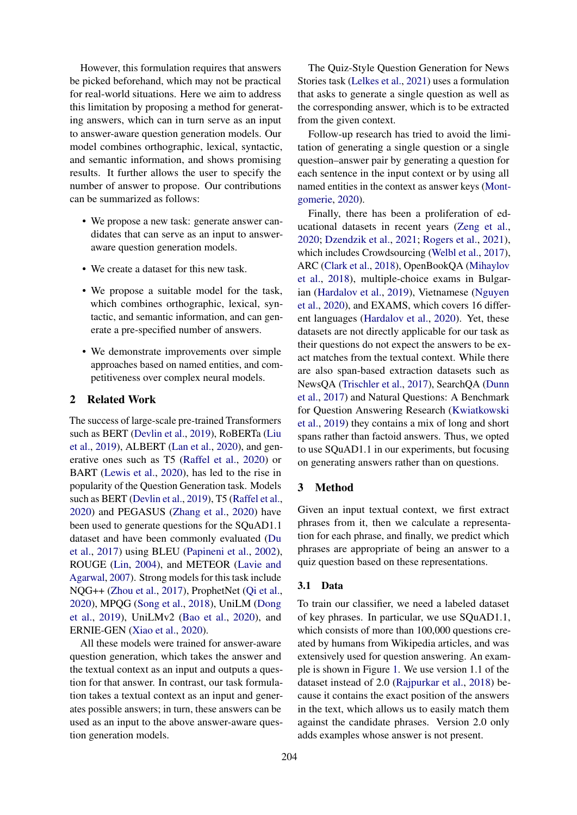However, this formulation requires that answers be picked beforehand, which may not be practical for real-world situations. Here we aim to address this limitation by proposing a method for generating answers, which can in turn serve as an input to answer-aware question generation models. Our model combines orthographic, lexical, syntactic, and semantic information, and shows promising results. It further allows the user to specify the number of answer to propose. Our contributions can be summarized as follows:

- We propose a new task: generate answer candidates that can serve as an input to answeraware question generation models.
- We create a dataset for this new task.
- We propose a suitable model for the task, which combines orthographic, lexical, syntactic, and semantic information, and can generate a pre-specified number of answers.
- We demonstrate improvements over simple approaches based on named entities, and competitiveness over complex neural models.

# 2 Related Work

The success of large-scale pre-trained Transformers such as BERT [\(Devlin et al.,](#page-5-6) [2019\)](#page-5-6), RoBERTa [\(Liu](#page-6-4) [et al.,](#page-6-4) [2019\)](#page-6-4), ALBERT [\(Lan et al.,](#page-5-7) [2020\)](#page-5-7), and generative ones such as T5 [\(Raffel et al.,](#page-6-5) [2020\)](#page-6-5) or BART [\(Lewis et al.,](#page-5-8) [2020\)](#page-5-8), has led to the rise in popularity of the Question Generation task. Models such as BERT [\(Devlin et al.,](#page-5-6) [2019\)](#page-5-6), T5 [\(Raffel et al.,](#page-6-5) [2020\)](#page-6-5) and PEGASUS [\(Zhang et al.,](#page-6-6) [2020\)](#page-6-6) have been used to generate questions for the SQuAD1.1 dataset and have been commonly evaluated [\(Du](#page-5-1) [et al.,](#page-5-1) [2017\)](#page-5-1) using BLEU [\(Papineni et al.,](#page-6-7) [2002\)](#page-6-7), ROUGE [\(Lin,](#page-5-9) [2004\)](#page-5-9), and METEOR [\(Lavie and](#page-5-10) [Agarwal,](#page-5-10) [2007\)](#page-5-10). Strong models for this task include NQG++ [\(Zhou et al.,](#page-6-8) [2017\)](#page-6-8), ProphetNet [\(Qi et al.,](#page-6-9) [2020\)](#page-6-9), MPQG [\(Song et al.,](#page-6-10) [2018\)](#page-6-10), UniLM [\(Dong](#page-5-3) [et al.,](#page-5-3) [2019\)](#page-5-3), UniLMv2 [\(Bao et al.,](#page-5-4) [2020\)](#page-5-4), and ERNIE-GEN [\(Xiao et al.,](#page-6-11) [2020\)](#page-6-11).

All these models were trained for answer-aware question generation, which takes the answer and the textual context as an input and outputs a question for that answer. In contrast, our task formulation takes a textual context as an input and generates possible answers; in turn, these answers can be used as an input to the above answer-aware question generation models.

The Quiz-Style Question Generation for News Stories task [\(Lelkes et al.,](#page-5-11) [2021\)](#page-5-11) uses a formulation that asks to generate a single question as well as the corresponding answer, which is to be extracted from the given context.

Follow-up research has tried to avoid the limitation of generating a single question or a single question–answer pair by generating a question for each sentence in the input context or by using all named entities in the context as answer keys [\(Mont](#page-6-12)[gomerie,](#page-6-12) [2020\)](#page-6-12).

Finally, there has been a proliferation of educational datasets in recent years [\(Zeng et al.,](#page-6-13) [2020;](#page-6-13) [Dzendzik et al.,](#page-5-12) [2021;](#page-5-12) [Rogers et al.,](#page-6-14) [2021\)](#page-6-14), which includes Crowdsourcing [\(Welbl et al.,](#page-6-15) [2017\)](#page-6-15), ARC [\(Clark et al.,](#page-5-13) [2018\)](#page-5-13), OpenBookQA [\(Mihaylov](#page-6-16) [et al.,](#page-6-16) [2018\)](#page-6-16), multiple-choice exams in Bulgarian [\(Hardalov et al.,](#page-5-14) [2019\)](#page-5-14), Vietnamese [\(Nguyen](#page-6-17) [et al.,](#page-6-17) [2020\)](#page-6-17), and EXAMS, which covers 16 different languages [\(Hardalov et al.,](#page-5-15) [2020\)](#page-5-15). Yet, these datasets are not directly applicable for our task as their questions do not expect the answers to be exact matches from the textual context. While there are also span-based extraction datasets such as NewsQA [\(Trischler et al.,](#page-6-18) [2017\)](#page-6-18), SearchQA [\(Dunn](#page-5-16) [et al.,](#page-5-16) [2017\)](#page-5-16) and Natural Questions: A Benchmark for Question Answering Research [\(Kwiatkowski](#page-5-17) [et al.,](#page-5-17) [2019\)](#page-5-17) they contains a mix of long and short spans rather than factoid answers. Thus, we opted to use SQuAD1.1 in our experiments, but focusing on generating answers rather than on questions.

### 3 Method

Given an input textual context, we first extract phrases from it, then we calculate a representation for each phrase, and finally, we predict which phrases are appropriate of being an answer to a quiz question based on these representations.

#### 3.1 Data

To train our classifier, we need a labeled dataset of key phrases. In particular, we use SQuAD1.1, which consists of more than 100,000 questions created by humans from Wikipedia articles, and was extensively used for question answering. An example is shown in Figure [1.](#page-0-0) We use version 1.1 of the dataset instead of 2.0 [\(Rajpurkar et al.,](#page-6-19) [2018\)](#page-6-19) because it contains the exact position of the answers in the text, which allows us to easily match them against the candidate phrases. Version 2.0 only adds examples whose answer is not present.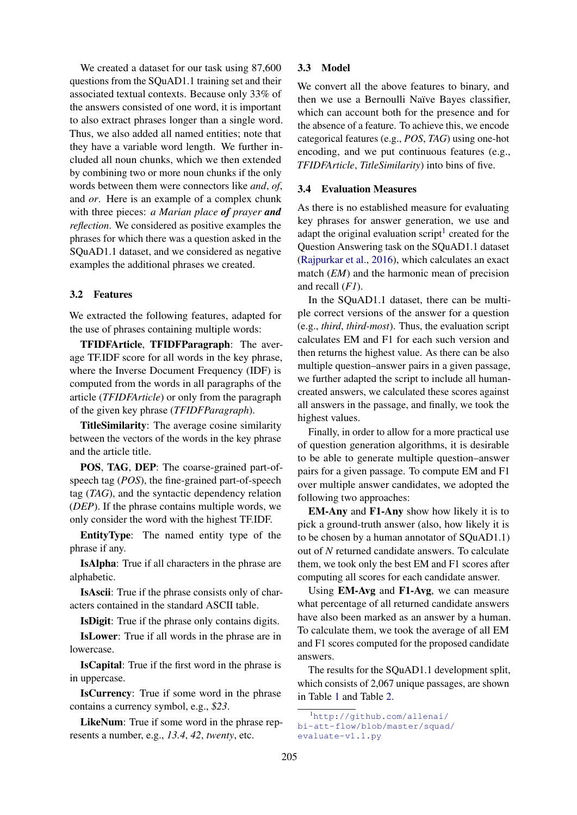We created a dataset for our task using 87,600 questions from the SQuAD1.1 training set and their associated textual contexts. Because only 33% of the answers consisted of one word, it is important to also extract phrases longer than a single word. Thus, we also added all named entities; note that they have a variable word length. We further included all noun chunks, which we then extended by combining two or more noun chunks if the only words between them were connectors like *and*, *of*, and *or*. Here is an example of a complex chunk with three pieces: *a Marian place of prayer and reflection*. We considered as positive examples the phrases for which there was a question asked in the SQuAD1.1 dataset, and we considered as negative examples the additional phrases we created.

### 3.2 Features

We extracted the following features, adapted for the use of phrases containing multiple words:

TFIDFArticle, TFIDFParagraph: The average TF.IDF score for all words in the key phrase, where the Inverse Document Frequency (IDF) is computed from the words in all paragraphs of the article (*TFIDFArticle*) or only from the paragraph of the given key phrase (*TFIDFParagraph*).

TitleSimilarity: The average cosine similarity between the vectors of the words in the key phrase and the article title.

POS, TAG, DEP: The coarse-grained part-ofspeech tag (*POS*), the fine-grained part-of-speech tag (*TAG*), and the syntactic dependency relation (*DEP*). If the phrase contains multiple words, we only consider the word with the highest TF.IDF.

EntityType: The named entity type of the phrase if any.

IsAlpha: True if all characters in the phrase are alphabetic.

IsAscii: True if the phrase consists only of characters contained in the standard ASCII table.

IsDigit: True if the phrase only contains digits.

IsLower: True if all words in the phrase are in lowercase.

IsCapital: True if the first word in the phrase is in uppercase.

IsCurrency: True if some word in the phrase contains a currency symbol, e.g., *\$23*.

LikeNum: True if some word in the phrase represents a number, e.g., *13.4*, *42*, *twenty*, etc.

# 3.3 Model

We convert all the above features to binary, and then we use a Bernoulli Naïve Bayes classifier, which can account both for the presence and for the absence of a feature. To achieve this, we encode categorical features (e.g., *POS*, *TAG*) using one-hot encoding, and we put continuous features (e.g., *TFIDFArticle*, *TitleSimilarity*) into bins of five.

### 3.4 Evaluation Measures

As there is no established measure for evaluating key phrases for answer generation, we use and adapt the original evaluation script<sup>[1](#page-2-0)</sup> created for the Question Answering task on the SQuAD1.1 dataset [\(Rajpurkar et al.,](#page-6-3) [2016\)](#page-6-3), which calculates an exact match (*EM*) and the harmonic mean of precision and recall (*F1*).

In the SQuAD1.1 dataset, there can be multiple correct versions of the answer for a question (e.g., *third*, *third-most*). Thus, the evaluation script calculates EM and F1 for each such version and then returns the highest value. As there can be also multiple question–answer pairs in a given passage, we further adapted the script to include all humancreated answers, we calculated these scores against all answers in the passage, and finally, we took the highest values.

Finally, in order to allow for a more practical use of question generation algorithms, it is desirable to be able to generate multiple question–answer pairs for a given passage. To compute EM and F1 over multiple answer candidates, we adopted the following two approaches:

EM-Any and F1-Any show how likely it is to pick a ground-truth answer (also, how likely it is to be chosen by a human annotator of SQuAD1.1) out of *N* returned candidate answers. To calculate them, we took only the best EM and F1 scores after computing all scores for each candidate answer.

Using EM-Avg and F1-Avg, we can measure what percentage of all returned candidate answers have also been marked as an answer by a human. To calculate them, we took the average of all EM and F1 scores computed for the proposed candidate answers.

The results for the SQuAD1.1 development split, which consists of 2,067 unique passages, are shown in Table [1](#page-3-0) and Table [2.](#page-3-1)

<span id="page-2-0"></span><sup>1</sup>[http://github.com/allenai/](http://github.com/allenai/bi-att-flow/blob/master/squad/evaluate-v1.1.py) [bi-att-flow/blob/master/squad/](http://github.com/allenai/bi-att-flow/blob/master/squad/evaluate-v1.1.py) [evaluate-v1.1.py](http://github.com/allenai/bi-att-flow/blob/master/squad/evaluate-v1.1.py)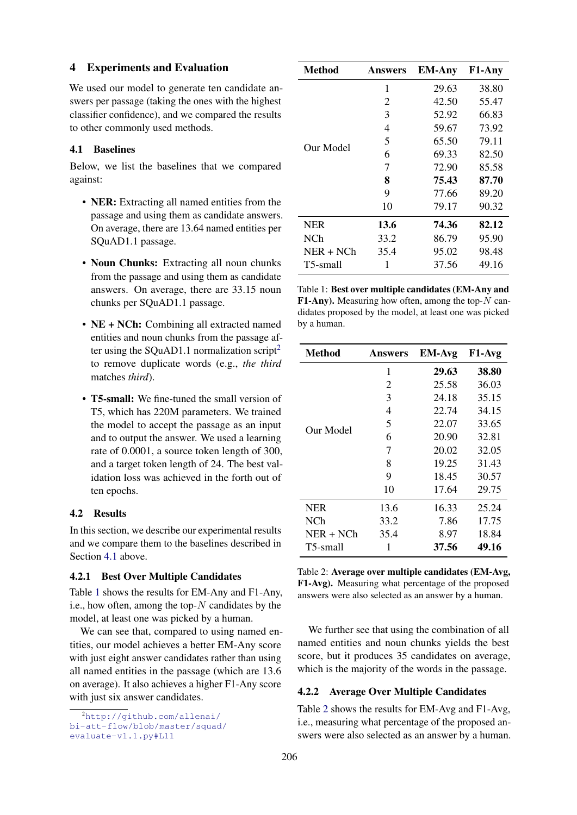### 4 Experiments and Evaluation

We used our model to generate ten candidate answers per passage (taking the ones with the highest classifier confidence), and we compared the results to other commonly used methods.

#### <span id="page-3-3"></span>4.1 Baselines

Below, we list the baselines that we compared against:

- NER: Extracting all named entities from the passage and using them as candidate answers. On average, there are 13.64 named entities per SQuAD1.1 passage.
- Noun Chunks: Extracting all noun chunks from the passage and using them as candidate answers. On average, there are 33.15 noun chunks per SQuAD1.1 passage.
- NE + NCh: Combining all extracted named entities and noun chunks from the passage af-ter using the SQuAD1.1 normalization script<sup>[2](#page-3-2)</sup> to remove duplicate words (e.g., *the third* matches *third*).
- T5-small: We fine-tuned the small version of T5, which has 220M parameters. We trained the model to accept the passage as an input and to output the answer. We used a learning rate of 0.0001, a source token length of 300, and a target token length of 24. The best validation loss was achieved in the forth out of ten epochs.

# 4.2 Results

In this section, we describe our experimental results and we compare them to the baselines described in Section [4.1](#page-3-3) above.

# 4.2.1 Best Over Multiple Candidates

Table [1](#page-3-0) shows the results for EM-Any and F1-Any, i.e., how often, among the top- $N$  candidates by the model, at least one was picked by a human.

We can see that, compared to using named entities, our model achieves a better EM-Any score with just eight answer candidates rather than using all named entities in the passage (which are 13.6 on average). It also achieves a higher F1-Any score with just six answer candidates.

<span id="page-3-0"></span>

| <b>Method</b> | Answers | <b>EM-Any</b> | F1-Any |
|---------------|---------|---------------|--------|
| Our Model     | 1       | 29.63         | 38.80  |
|               | 2       | 42.50         | 55.47  |
|               | 3       | 52.92         | 66.83  |
|               | 4       | 59.67         | 73.92  |
|               | 5       | 65.50         | 79.11  |
|               | 6       | 69.33         | 82.50  |
|               | 7       | 72.90         | 85.58  |
|               | 8       | 75.43         | 87.70  |
|               | 9       | 77.66         | 89.20  |
|               | 10      | 79.17         | 90.32  |
| <b>NER</b>    | 13.6    | 74.36         | 82.12  |
| NCh           | 33.2    | 86.79         | 95.90  |
| $NER + NCh$   | 35.4    | 95.02         | 98.48  |
| T5-small      | 1       | 37.56         | 49.16  |

Table 1: Best over multiple candidates (EM-Any and F1-Any). Measuring how often, among the top- $N$  candidates proposed by the model, at least one was picked by a human.

<span id="page-3-1"></span>

| Method      | Answers | <b>EM-Avg</b> | F1-Avg |
|-------------|---------|---------------|--------|
| Our Model   | 1       | 29.63         | 38.80  |
|             | 2       | 25.58         | 36.03  |
|             | 3       | 24.18         | 35.15  |
|             | 4       | 22.74         | 34.15  |
|             | 5       | 22.07         | 33.65  |
|             | 6       | 20.90         | 32.81  |
|             | 7       | 20.02         | 32.05  |
|             | 8       | 19.25         | 31.43  |
|             | 9       | 18.45         | 30.57  |
|             | 10      | 17.64         | 29.75  |
| <b>NER</b>  | 13.6    | 16.33         | 25.24  |
| <b>NCh</b>  | 33.2    | 7.86          | 17.75  |
| $NER + NCh$ | 35.4    | 8.97          | 18.84  |
| T5-small    | 1       | 37.56         | 49.16  |

Table 2: Average over multiple candidates (EM-Avg, F1-Avg). Measuring what percentage of the proposed answers were also selected as an answer by a human.

We further see that using the combination of all named entities and noun chunks yields the best score, but it produces 35 candidates on average, which is the majority of the words in the passage.

### 4.2.2 Average Over Multiple Candidates

Table [2](#page-3-1) shows the results for EM-Avg and F1-Avg, i.e., measuring what percentage of the proposed answers were also selected as an answer by a human.

<span id="page-3-2"></span><sup>2</sup>[http://github.com/allenai/](http://github.com/allenai/bi-att-flow/blob/master/squad/evaluate-v1.1.py#L11) [bi-att-flow/blob/master/squad/](http://github.com/allenai/bi-att-flow/blob/master/squad/evaluate-v1.1.py#L11) [evaluate-v1.1.py#L11](http://github.com/allenai/bi-att-flow/blob/master/squad/evaluate-v1.1.py#L11)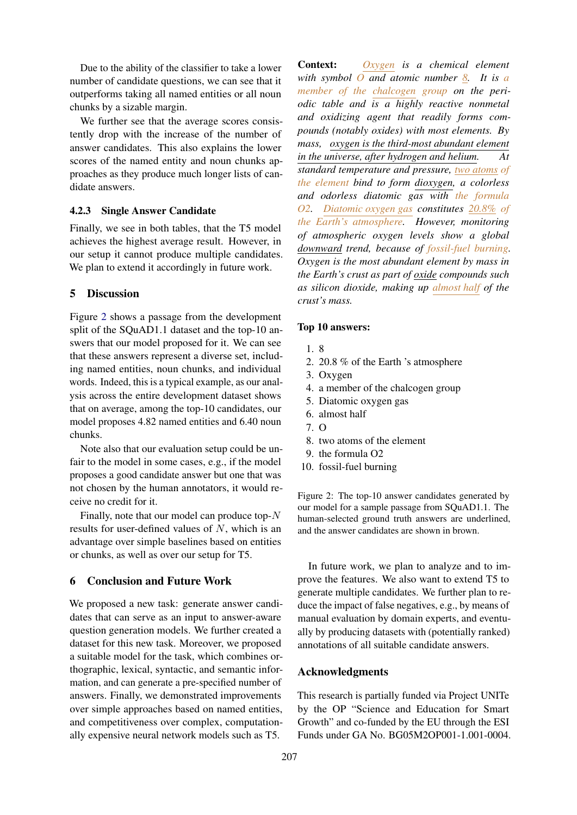Due to the ability of the classifier to take a lower number of candidate questions, we can see that it outperforms taking all named entities or all noun chunks by a sizable margin.

We further see that the average scores consistently drop with the increase of the number of answer candidates. This also explains the lower scores of the named entity and noun chunks approaches as they produce much longer lists of candidate answers.

# 4.2.3 Single Answer Candidate

Finally, we see in both tables, that the T5 model achieves the highest average result. However, in our setup it cannot produce multiple candidates. We plan to extend it accordingly in future work.

# 5 Discussion

Figure [2](#page-4-0) shows a passage from the development split of the SQuAD1.1 dataset and the top-10 answers that our model proposed for it. We can see that these answers represent a diverse set, including named entities, noun chunks, and individual words. Indeed, this is a typical example, as our analysis across the entire development dataset shows that on average, among the top-10 candidates, our model proposes 4.82 named entities and 6.40 noun chunks.

Note also that our evaluation setup could be unfair to the model in some cases, e.g., if the model proposes a good candidate answer but one that was not chosen by the human annotators, it would receive no credit for it.

Finally, note that our model can produce top- $N$ results for user-defined values of  $N$ , which is an advantage over simple baselines based on entities or chunks, as well as over our setup for T5.

### 6 Conclusion and Future Work

We proposed a new task: generate answer candidates that can serve as an input to answer-aware question generation models. We further created a dataset for this new task. Moreover, we proposed a suitable model for the task, which combines orthographic, lexical, syntactic, and semantic information, and can generate a pre-specified number of answers. Finally, we demonstrated improvements over simple approaches based on named entities, and competitiveness over complex, computationally expensive neural network models such as T5.

<span id="page-4-0"></span>Context: *Oxygen is a chemical element with symbol O and atomic number 8. It is a member of the chalcogen group on the periodic table and is a highly reactive nonmetal and oxidizing agent that readily forms compounds (notably oxides) with most elements. By mass, oxygen is the third-most abundant element in the universe, after hydrogen and helium. At standard temperature and pressure, two atoms of the element bind to form dioxygen, a colorless and odorless diatomic gas with the formula O2. Diatomic oxygen gas constitutes 20.8% of the Earth's atmosphere. However, monitoring of atmospheric oxygen levels show a global downward trend, because of fossil-fuel burning. Oxygen is the most abundant element by mass in the Earth's crust as part of oxide compounds such as silicon dioxide, making up almost half of the crust's mass.*

#### Top 10 answers:

- 1. 8
- 2. 20.8 % of the Earth 's atmosphere
- 3. Oxygen
- 4. a member of the chalcogen group
- 5. Diatomic oxygen gas
- 6. almost half
- 7. O
- 8. two atoms of the element
- 9. the formula O2
- 10. fossil-fuel burning

Figure 2: The top-10 answer candidates generated by our model for a sample passage from SQuAD1.1. The human-selected ground truth answers are underlined, and the answer candidates are shown in brown.

In future work, we plan to analyze and to improve the features. We also want to extend T5 to generate multiple candidates. We further plan to reduce the impact of false negatives, e.g., by means of manual evaluation by domain experts, and eventually by producing datasets with (potentially ranked) annotations of all suitable candidate answers.

# Acknowledgments

This research is partially funded via Project UNITe by the OP "Science and Education for Smart Growth" and co-funded by the EU through the ESI Funds under GA No. BG05M2OP001-1.001-0004.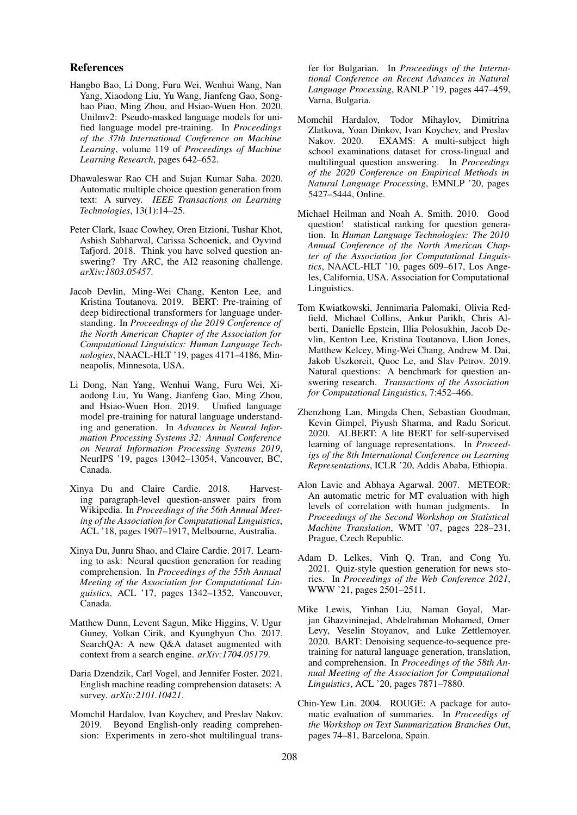### References

- <span id="page-5-4"></span>Hangbo Bao, Li Dong, Furu Wei, Wenhui Wang, Nan Yang, Xiaodong Liu, Yu Wang, Jianfeng Gao, Songhao Piao, Ming Zhou, and Hsiao-Wuen Hon. 2020. Unilmv2: Pseudo-masked language models for unified language model pre-training. In *Proceedings of the 37th International Conference on Machine Learning*, volume 119 of *Proceedings of Machine Learning Research*, pages 642–652.
- <span id="page-5-5"></span>Dhawaleswar Rao CH and Sujan Kumar Saha. 2020. Automatic multiple choice question generation from text: A survey. *IEEE Transactions on Learning Technologies*, 13(1):14–25.
- <span id="page-5-13"></span>Peter Clark, Isaac Cowhey, Oren Etzioni, Tushar Khot, Ashish Sabharwal, Carissa Schoenick, and Oyvind Tafjord. 2018. Think you have solved question answering? Try ARC, the AI2 reasoning challenge. *arXiv:1803.05457*.
- <span id="page-5-6"></span>Jacob Devlin, Ming-Wei Chang, Kenton Lee, and Kristina Toutanova. 2019. BERT: Pre-training of deep bidirectional transformers for language understanding. In *Proceedings of the 2019 Conference of the North American Chapter of the Association for Computational Linguistics: Human Language Technologies*, NAACL-HLT '19, pages 4171–4186, Minneapolis, Minnesota, USA.
- <span id="page-5-3"></span>Li Dong, Nan Yang, Wenhui Wang, Furu Wei, Xiaodong Liu, Yu Wang, Jianfeng Gao, Ming Zhou, and Hsiao-Wuen Hon. 2019. Unified language model pre-training for natural language understanding and generation. In *Advances in Neural Information Processing Systems 32: Annual Conference on Neural Information Processing Systems 2019*, NeurIPS '19, pages 13042–13054, Vancouver, BC, Canada.
- <span id="page-5-2"></span>Xinya Du and Claire Cardie. 2018. Harvesting paragraph-level question-answer pairs from Wikipedia. In *Proceedings of the 56th Annual Meeting of the Association for Computational Linguistics*, ACL '18, pages 1907–1917, Melbourne, Australia.
- <span id="page-5-1"></span>Xinya Du, Junru Shao, and Claire Cardie. 2017. Learning to ask: Neural question generation for reading comprehension. In *Proceedings of the 55th Annual Meeting of the Association for Computational Linguistics*, ACL '17, pages 1342–1352, Vancouver, Canada.
- <span id="page-5-16"></span>Matthew Dunn, Levent Sagun, Mike Higgins, V. Ugur Guney, Volkan Cirik, and Kyunghyun Cho. 2017. SearchQA: A new Q&A dataset augmented with context from a search engine. *arXiv:1704.05179*.
- <span id="page-5-12"></span>Daria Dzendzik, Carl Vogel, and Jennifer Foster. 2021. English machine reading comprehension datasets: A survey. *arXiv:2101.10421*.
- <span id="page-5-14"></span>Momchil Hardalov, Ivan Koychev, and Preslav Nakov. 2019. Beyond English-only reading comprehension: Experiments in zero-shot multilingual trans-

fer for Bulgarian. In *Proceedings of the International Conference on Recent Advances in Natural Language Processing*, RANLP '19, pages 447–459, Varna, Bulgaria.

- <span id="page-5-15"></span>Momchil Hardalov, Todor Mihaylov, Dimitrina Zlatkova, Yoan Dinkov, Ivan Koychev, and Preslav Nakov. 2020. EXAMS: A multi-subject high school examinations dataset for cross-lingual and multilingual question answering. In *Proceedings of the 2020 Conference on Empirical Methods in Natural Language Processing*, EMNLP '20, pages 5427–5444, Online.
- <span id="page-5-0"></span>Michael Heilman and Noah A. Smith. 2010. Good question! statistical ranking for question generation. In *Human Language Technologies: The 2010 Annual Conference of the North American Chapter of the Association for Computational Linguistics*, NAACL-HLT '10, pages 609–617, Los Angeles, California, USA. Association for Computational Linguistics.
- <span id="page-5-17"></span>Tom Kwiatkowski, Jennimaria Palomaki, Olivia Redfield, Michael Collins, Ankur Parikh, Chris Alberti, Danielle Epstein, Illia Polosukhin, Jacob Devlin, Kenton Lee, Kristina Toutanova, Llion Jones, Matthew Kelcey, Ming-Wei Chang, Andrew M. Dai, Jakob Uszkoreit, Quoc Le, and Slav Petrov. 2019. Natural questions: A benchmark for question answering research. *Transactions of the Association for Computational Linguistics*, 7:452–466.
- <span id="page-5-7"></span>Zhenzhong Lan, Mingda Chen, Sebastian Goodman, Kevin Gimpel, Piyush Sharma, and Radu Soricut. 2020. ALBERT: A lite BERT for self-supervised learning of language representations. In *Proceedigs of the 8th International Conference on Learning Representations*, ICLR '20, Addis Ababa, Ethiopia.
- <span id="page-5-10"></span>Alon Lavie and Abhaya Agarwal. 2007. METEOR: An automatic metric for MT evaluation with high levels of correlation with human judgments. In *Proceedings of the Second Workshop on Statistical Machine Translation*, WMT '07, pages 228–231, Prague, Czech Republic.
- <span id="page-5-11"></span>Adam D. Lelkes, Vinh Q. Tran, and Cong Yu. 2021. Quiz-style question generation for news stories. In *Proceedings of the Web Conference 2021*, WWW '21, pages 2501–2511.
- <span id="page-5-8"></span>Mike Lewis, Yinhan Liu, Naman Goyal, Marjan Ghazvininejad, Abdelrahman Mohamed, Omer Levy, Veselin Stoyanov, and Luke Zettlemoyer. 2020. BART: Denoising sequence-to-sequence pretraining for natural language generation, translation, and comprehension. In *Proceedings of the 58th Annual Meeting of the Association for Computational Linguistics*, ACL '20, pages 7871–7880.
- <span id="page-5-9"></span>Chin-Yew Lin. 2004. ROUGE: A package for automatic evaluation of summaries. In *Proceedigs of the Workshop on Text Summarization Branches Out*, pages 74–81, Barcelona, Spain.